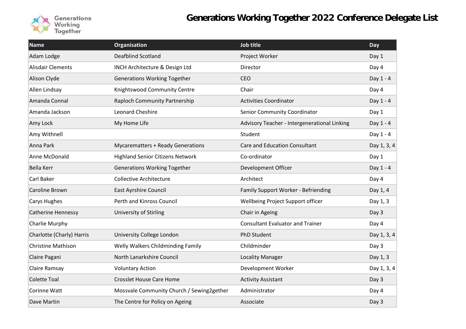

| <b>Name</b>               | <b>Organisation</b>                       | Job title                                    | Day         |
|---------------------------|-------------------------------------------|----------------------------------------------|-------------|
| Adam Lodge                | <b>Deafblind Scotland</b>                 | Project Worker                               | Day 1       |
| <b>Alisdair Clements</b>  | INCH Architecture & Design Ltd            | Director                                     | Day 4       |
| Alison Clyde              | <b>Generations Working Together</b>       | CEO                                          | Day 1 - 4   |
| Allen Lindsay             | Knightswood Community Centre              | Chair                                        | Day 4       |
| Amanda Connal             | Raploch Community Partnership             | <b>Activities Coordinator</b>                | Day 1 - 4   |
| Amanda Jackson            | Leonard Cheshire                          | Senior Community Coordinator                 | Day 1       |
| Amy Lock                  | My Home Life                              | Advisory Teacher - Intergenerational Linking | Day 1 - 4   |
| Amy Withnell              |                                           | Student                                      | Day 1 - 4   |
| Anna Park                 | <b>Mycarematters + Ready Generations</b>  | <b>Care and Education Consultant</b>         | Day 1, 3, 4 |
| Anne McDonald             | <b>Highland Senior Citizens Network</b>   | Co-ordinator                                 | Day 1       |
| <b>Bella Kerr</b>         | <b>Generations Working Together</b>       | Development Officer                          | Day 1 - 4   |
| Carl Baker                | <b>Collective Architecture</b>            | Architect                                    | Day 4       |
| Caroline Brown            | <b>East Ayrshire Council</b>              | Family Support Worker - Befriending          | Day 1, 4    |
| Carys Hughes              | Perth and Kinross Council                 | Wellbeing Project Support officer            | Day 1, 3    |
| <b>Catherine Hennessy</b> | University of Stirling                    | Chair in Ageing                              | Day 3       |
| Charlie Murphy            |                                           | <b>Consultant Evaluator and Trainer</b>      | Day 4       |
| Charlotte (Charly) Harris | University College London                 | <b>PhD Student</b>                           | Day 1, 3, 4 |
| <b>Christine Mathison</b> | Welly Walkers Childminding Family         | Childminder                                  | Day 3       |
| Claire Pagani             | North Lanarkshire Council                 | <b>Locality Manager</b>                      | Day 1, 3    |
| Claire Ramsay             | <b>Voluntary Action</b>                   | Development Worker                           | Day 1, 3, 4 |
| <b>Colette Toal</b>       | <b>Crosslet House Care Home</b>           | <b>Activity Assistant</b>                    | Day 3       |
| Corinne Watt              | Mossvale Community Church / Sewing2gether | Administrator                                | Day 4       |
| Dave Martin               | The Centre for Policy on Ageing           | Associate                                    | Day 3       |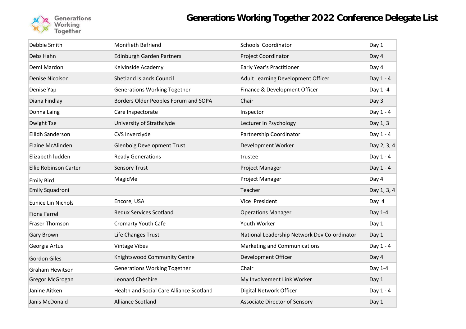

| Debbie Smith                 | Monifieth Befriend                              | <b>Schools' Coordinator</b>                  | Day 1       |
|------------------------------|-------------------------------------------------|----------------------------------------------|-------------|
| Debs Hahn                    | <b>Edinburgh Garden Partners</b>                | Project Coordinator                          | Day 4       |
| Demi Mardon                  | Kelvinside Academy                              | Early Year's Practitioner                    | Day 4       |
| Denise Nicolson              | <b>Shetland Islands Council</b>                 | Adult Learning Development Officer           | Day 1 - 4   |
| Denise Yap                   | <b>Generations Working Together</b>             | Finance & Development Officer                | Day 1-4     |
| Diana Findlay                | Borders Older Peoples Forum and SOPA            | Chair                                        | Day 3       |
| Donna Laing                  | Care Inspectorate                               | Inspector                                    | Day 1 - 4   |
| Dwight Tse                   | University of Strathclyde                       | Lecturer in Psychology                       | Day 1, 3    |
| Eilidh Sanderson             | CVS Inverclyde                                  | Partnership Coordinator                      | Day 1 - 4   |
| Elaine McAlinden             | <b>Glenboig Development Trust</b>               | Development Worker                           | Day 2, 3, 4 |
| Elizabeth ludden             | <b>Ready Generations</b>                        | trustee                                      | Day 1 - 4   |
| <b>Ellie Robinson Carter</b> | <b>Sensory Trust</b>                            | Project Manager                              | Day 1 - 4   |
|                              |                                                 |                                              |             |
| <b>Emily Bird</b>            | MagicMe                                         | Project Manager                              | Day 4       |
| Emily Squadroni              |                                                 | Teacher                                      | Day 1, 3, 4 |
| <b>Eunice Lin Nichols</b>    | Encore, USA                                     | Vice President                               | Day 4       |
| <b>Fiona Farrell</b>         | <b>Redux Services Scotland</b>                  | <b>Operations Manager</b>                    | Day 1-4     |
| Fraser Thomson               | <b>Cromarty Youth Cafe</b>                      | Youth Worker                                 | Day 1       |
| Gary Brown                   | Life Changes Trust                              | National Leadership Network Dev Co-ordinator | Day 1       |
| Georgia Artus                | <b>Vintage Vibes</b>                            | Marketing and Communications                 | Day 1 - 4   |
| <b>Gordon Giles</b>          | Knightswood Community Centre                    | Development Officer                          | Day 4       |
| <b>Graham Hewitson</b>       | <b>Generations Working Together</b>             | Chair                                        | Day 1-4     |
| Gregor McGrogan              | Leonard Cheshire                                | My Involvement Link Worker                   | Day 1       |
| Janine Aitken                | <b>Health and Social Care Alliance Scotland</b> | Digital Network Officer                      | Day 1 - 4   |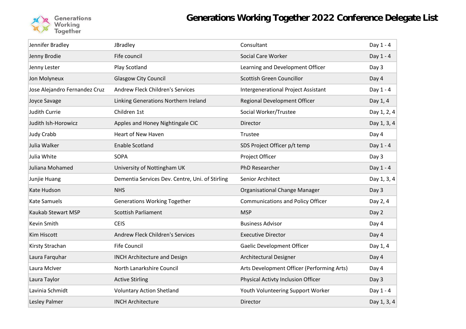

| Jennifer Bradley<br>Consultant<br>JBradley<br>Fife council<br>Social Care Worker<br>Jenny Brodie<br>Play Scotland<br>Learning and Development Officer<br>Jenny Lester<br><b>Scottish Green Councillor</b><br><b>Glasgow City Council</b><br>Jon Molyneux<br>Jose Alejandro Fernandez Cruz<br><b>Andrew Fleck Children's Services</b><br>Intergenerational Project Assistant<br>Regional Development Officer<br>Joyce Savage<br>Linking Generations Northern Ireland<br><b>Judith Currie</b><br>Children 1st<br>Social Worker/Trustee<br>Judith Ish-Horowicz<br>Apples and Honey Nightingale CIC<br>Director<br><b>Judy Crabb</b><br><b>Heart of New Haven</b><br>Trustee<br>Julia Walker<br><b>Enable Scotland</b><br>SDS Project Officer p/t temp<br>Julia White<br><b>SOPA</b><br>Project Officer<br>PhD Researcher<br>Juliana Mohamed<br>University of Nottingham UK<br>Dementia Services Dev. Centre, Uni. of Stirling<br>Junjie Huang<br>Senior Architect<br>Kate Hudson<br>Organisational Change Manager<br><b>NHS</b><br><b>Kate Samuels</b><br><b>Generations Working Together</b><br><b>Communications and Policy Officer</b><br><b>Kaukab Stewart MSP</b><br><b>Scottish Parliament</b><br><b>MSP</b><br>Kevin Smith<br><b>CEIS</b><br><b>Business Advisor</b><br><b>Andrew Fleck Children's Services</b><br><b>Kim Hiscott</b><br><b>Executive Director</b><br>Kirsty Strachan<br><b>Fife Council</b><br><b>Gaelic Development Officer</b><br><b>INCH Architecture and Design</b><br>Architectural Designer<br>Laura Farquhar<br>North Lanarkshire Council<br>Arts Development Officer (Performing Arts)<br>Laura McIver<br>Physical Activty Inclusion Officer<br>Laura Taylor<br><b>Active Stirling</b><br>Lavinia Schmidt<br><b>Voluntary Action Shetland</b><br>Youth Volunteering Support Worker |               |                          |          |             |
|-----------------------------------------------------------------------------------------------------------------------------------------------------------------------------------------------------------------------------------------------------------------------------------------------------------------------------------------------------------------------------------------------------------------------------------------------------------------------------------------------------------------------------------------------------------------------------------------------------------------------------------------------------------------------------------------------------------------------------------------------------------------------------------------------------------------------------------------------------------------------------------------------------------------------------------------------------------------------------------------------------------------------------------------------------------------------------------------------------------------------------------------------------------------------------------------------------------------------------------------------------------------------------------------------------------------------------------------------------------------------------------------------------------------------------------------------------------------------------------------------------------------------------------------------------------------------------------------------------------------------------------------------------------------------------------------------------------------------------------------------------------------------------------------------------------------|---------------|--------------------------|----------|-------------|
|                                                                                                                                                                                                                                                                                                                                                                                                                                                                                                                                                                                                                                                                                                                                                                                                                                                                                                                                                                                                                                                                                                                                                                                                                                                                                                                                                                                                                                                                                                                                                                                                                                                                                                                                                                                                                 |               |                          |          | Day 1 - 4   |
|                                                                                                                                                                                                                                                                                                                                                                                                                                                                                                                                                                                                                                                                                                                                                                                                                                                                                                                                                                                                                                                                                                                                                                                                                                                                                                                                                                                                                                                                                                                                                                                                                                                                                                                                                                                                                 |               |                          |          | Day 1 - 4   |
|                                                                                                                                                                                                                                                                                                                                                                                                                                                                                                                                                                                                                                                                                                                                                                                                                                                                                                                                                                                                                                                                                                                                                                                                                                                                                                                                                                                                                                                                                                                                                                                                                                                                                                                                                                                                                 |               |                          |          | Day 3       |
|                                                                                                                                                                                                                                                                                                                                                                                                                                                                                                                                                                                                                                                                                                                                                                                                                                                                                                                                                                                                                                                                                                                                                                                                                                                                                                                                                                                                                                                                                                                                                                                                                                                                                                                                                                                                                 |               |                          |          | Day 4       |
|                                                                                                                                                                                                                                                                                                                                                                                                                                                                                                                                                                                                                                                                                                                                                                                                                                                                                                                                                                                                                                                                                                                                                                                                                                                                                                                                                                                                                                                                                                                                                                                                                                                                                                                                                                                                                 |               |                          |          | Day 1 - 4   |
|                                                                                                                                                                                                                                                                                                                                                                                                                                                                                                                                                                                                                                                                                                                                                                                                                                                                                                                                                                                                                                                                                                                                                                                                                                                                                                                                                                                                                                                                                                                                                                                                                                                                                                                                                                                                                 |               |                          |          | Day 1, 4    |
|                                                                                                                                                                                                                                                                                                                                                                                                                                                                                                                                                                                                                                                                                                                                                                                                                                                                                                                                                                                                                                                                                                                                                                                                                                                                                                                                                                                                                                                                                                                                                                                                                                                                                                                                                                                                                 |               |                          |          | Day 1, 2, 4 |
|                                                                                                                                                                                                                                                                                                                                                                                                                                                                                                                                                                                                                                                                                                                                                                                                                                                                                                                                                                                                                                                                                                                                                                                                                                                                                                                                                                                                                                                                                                                                                                                                                                                                                                                                                                                                                 |               |                          |          | Day 1, 3, 4 |
|                                                                                                                                                                                                                                                                                                                                                                                                                                                                                                                                                                                                                                                                                                                                                                                                                                                                                                                                                                                                                                                                                                                                                                                                                                                                                                                                                                                                                                                                                                                                                                                                                                                                                                                                                                                                                 |               |                          |          | Day 4       |
|                                                                                                                                                                                                                                                                                                                                                                                                                                                                                                                                                                                                                                                                                                                                                                                                                                                                                                                                                                                                                                                                                                                                                                                                                                                                                                                                                                                                                                                                                                                                                                                                                                                                                                                                                                                                                 |               |                          |          | Day 1 - 4   |
|                                                                                                                                                                                                                                                                                                                                                                                                                                                                                                                                                                                                                                                                                                                                                                                                                                                                                                                                                                                                                                                                                                                                                                                                                                                                                                                                                                                                                                                                                                                                                                                                                                                                                                                                                                                                                 |               |                          |          | Day 3       |
|                                                                                                                                                                                                                                                                                                                                                                                                                                                                                                                                                                                                                                                                                                                                                                                                                                                                                                                                                                                                                                                                                                                                                                                                                                                                                                                                                                                                                                                                                                                                                                                                                                                                                                                                                                                                                 |               |                          |          | Day 1 - 4   |
|                                                                                                                                                                                                                                                                                                                                                                                                                                                                                                                                                                                                                                                                                                                                                                                                                                                                                                                                                                                                                                                                                                                                                                                                                                                                                                                                                                                                                                                                                                                                                                                                                                                                                                                                                                                                                 |               |                          |          | Day 1, 3, 4 |
|                                                                                                                                                                                                                                                                                                                                                                                                                                                                                                                                                                                                                                                                                                                                                                                                                                                                                                                                                                                                                                                                                                                                                                                                                                                                                                                                                                                                                                                                                                                                                                                                                                                                                                                                                                                                                 |               |                          |          | Day 3       |
|                                                                                                                                                                                                                                                                                                                                                                                                                                                                                                                                                                                                                                                                                                                                                                                                                                                                                                                                                                                                                                                                                                                                                                                                                                                                                                                                                                                                                                                                                                                                                                                                                                                                                                                                                                                                                 |               |                          |          | Day 2, 4    |
|                                                                                                                                                                                                                                                                                                                                                                                                                                                                                                                                                                                                                                                                                                                                                                                                                                                                                                                                                                                                                                                                                                                                                                                                                                                                                                                                                                                                                                                                                                                                                                                                                                                                                                                                                                                                                 |               |                          |          | Day 2       |
|                                                                                                                                                                                                                                                                                                                                                                                                                                                                                                                                                                                                                                                                                                                                                                                                                                                                                                                                                                                                                                                                                                                                                                                                                                                                                                                                                                                                                                                                                                                                                                                                                                                                                                                                                                                                                 |               |                          |          | Day 4       |
|                                                                                                                                                                                                                                                                                                                                                                                                                                                                                                                                                                                                                                                                                                                                                                                                                                                                                                                                                                                                                                                                                                                                                                                                                                                                                                                                                                                                                                                                                                                                                                                                                                                                                                                                                                                                                 |               |                          |          | Day 4       |
|                                                                                                                                                                                                                                                                                                                                                                                                                                                                                                                                                                                                                                                                                                                                                                                                                                                                                                                                                                                                                                                                                                                                                                                                                                                                                                                                                                                                                                                                                                                                                                                                                                                                                                                                                                                                                 |               |                          |          | Day 1, 4    |
|                                                                                                                                                                                                                                                                                                                                                                                                                                                                                                                                                                                                                                                                                                                                                                                                                                                                                                                                                                                                                                                                                                                                                                                                                                                                                                                                                                                                                                                                                                                                                                                                                                                                                                                                                                                                                 |               |                          |          | Day 4       |
|                                                                                                                                                                                                                                                                                                                                                                                                                                                                                                                                                                                                                                                                                                                                                                                                                                                                                                                                                                                                                                                                                                                                                                                                                                                                                                                                                                                                                                                                                                                                                                                                                                                                                                                                                                                                                 |               |                          |          | Day 4       |
|                                                                                                                                                                                                                                                                                                                                                                                                                                                                                                                                                                                                                                                                                                                                                                                                                                                                                                                                                                                                                                                                                                                                                                                                                                                                                                                                                                                                                                                                                                                                                                                                                                                                                                                                                                                                                 |               |                          |          | Day 3       |
|                                                                                                                                                                                                                                                                                                                                                                                                                                                                                                                                                                                                                                                                                                                                                                                                                                                                                                                                                                                                                                                                                                                                                                                                                                                                                                                                                                                                                                                                                                                                                                                                                                                                                                                                                                                                                 |               |                          |          | Day 1 - 4   |
|                                                                                                                                                                                                                                                                                                                                                                                                                                                                                                                                                                                                                                                                                                                                                                                                                                                                                                                                                                                                                                                                                                                                                                                                                                                                                                                                                                                                                                                                                                                                                                                                                                                                                                                                                                                                                 | Lesley Palmer | <b>INCH Architecture</b> | Director | Day 1, 3, 4 |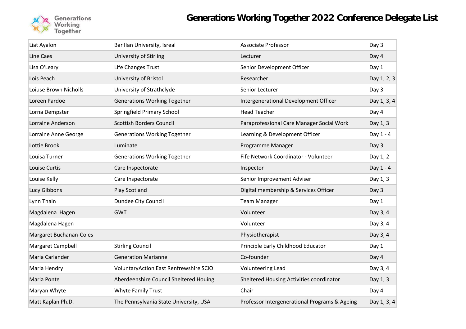

| Liat Ayalon             | Bar IIan University, Isreal            | <b>Associate Professor</b>                    | Day 3       |
|-------------------------|----------------------------------------|-----------------------------------------------|-------------|
| <b>Line Caes</b>        | University of Stirling                 | Lecturer                                      | Day 4       |
| Lisa O'Leary            | Life Changes Trust                     | Senior Development Officer                    | Day 1       |
| Lois Peach              | University of Bristol                  | Researcher                                    | Day 1, 2, 3 |
| Loiuse Brown Nicholls   | University of Strathclyde              | Senior Lecturer                               | Day 3       |
| Loreen Pardoe           | <b>Generations Working Together</b>    | Intergenerational Development Officer         | Day 1, 3, 4 |
| Lorna Dempster          | Springfield Primary School             | <b>Head Teacher</b>                           | Day 4       |
| Lorraine Anderson       | <b>Scottish Borders Council</b>        | Paraprofessional Care Manager Social Work     | Day 1, 3    |
| Lorraine Anne George    | <b>Generations Working Together</b>    | Learning & Development Officer                | Day 1 - 4   |
| Lottie Brook            | Luminate                               | Programme Manager                             | Day 3       |
| Louisa Turner           | <b>Generations Working Together</b>    | Fife Network Coordinator - Volunteer          | Day 1, 2    |
| Louise Curtis           | Care Inspectorate                      | Inspector                                     | Day 1 - 4   |
| Louise Kelly            | Care Inspectorate                      | Senior Improvement Adviser                    | Day 1, 3    |
| Lucy Gibbons            | Play Scotland                          | Digital membership & Services Officer         | Day 3       |
| Lynn Thain              | Dundee City Council                    | <b>Team Manager</b>                           | Day 1       |
| Magdalena Hagen         | <b>GWT</b>                             | Volunteer                                     | Day 3, 4    |
| Magdalena Hagen         |                                        | Volunteer                                     | Day 3, 4    |
| Margaret Buchanan-Coles |                                        | Physiotherapist                               | Day 3, 4    |
| Margaret Campbell       | <b>Stirling Council</b>                | Principle Early Childhood Educator            | Day 1       |
| Maria Carlander         | <b>Generation Marianne</b>             | Co-founder                                    | Day 4       |
| Maria Hendry            | VoluntaryAction East Renfrewshire SCIO | Volunteering Lead                             | Day 3, 4    |
| Maria Ponte             | Aberdeenshire Council Sheltered Houing | Sheltered Housing Activities coordinator      | Day 1, 3    |
| Maryan Whyte            | <b>Whyte Family Trust</b>              | Chair                                         | Day 4       |
| Matt Kaplan Ph.D.       | The Pennsylvania State University, USA | Professor Intergenerational Programs & Ageing | Day 1, 3, 4 |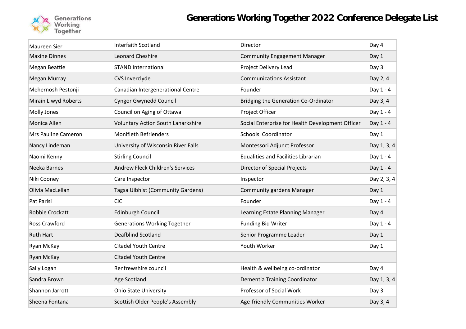

| Maureen Sier         | Interfaith Scotland                       | Director                                         | Day 4       |
|----------------------|-------------------------------------------|--------------------------------------------------|-------------|
| <b>Maxine Dinnes</b> | Leonard Cheshire                          | <b>Community Engagement Manager</b>              | Day 1       |
| <b>Megan Beattie</b> | <b>STAND International</b>                | Project Delivery Lead                            | Day 3       |
| Megan Murray         | CVS Inverclyde                            | <b>Communications Assistant</b>                  | Day 2, 4    |
| Mehernosh Pestonji   | Canadian Intergenerational Centre         | Founder                                          | Day 1 - 4   |
| Mirain Llwyd Roberts | <b>Cyngor Gwynedd Council</b>             | Bridging the Generation Co-Ordinator             | Day 3, 4    |
| Molly Jones          | Council on Aging of Ottawa                | Project Officer                                  | Day 1 - 4   |
| Monica Allen         | <b>Voluntary Action South Lanarkshire</b> | Social Enterprise for Health Development Officer | Day 1 - 4   |
| Mrs Pauline Cameron  | <b>Monifieth Befrienders</b>              | Schools' Coordinator                             | Day 1       |
| Nancy Lindeman       | University of Wisconsin River Falls       | Montessori Adjunct Professor                     | Day 1, 3, 4 |
| Naomi Kenny          | <b>Stirling Council</b>                   | <b>Equalities and Facilities Librarian</b>       | Day 1 - 4   |
| Neeka Barnes         | <b>Andrew Fleck Children's Services</b>   | Director of Special Projects                     | Day 1 - 4   |
| Niki Cooney          | Care Inspector                            | Inspector                                        | Day 2, 3, 4 |
| Olivia MacLellan     | Tagsa Uibhist (Community Gardens)         | <b>Community gardens Manager</b>                 | Day 1       |
| Pat Parisi           | <b>CIC</b>                                | Founder                                          | Day 1 - 4   |
| Robbie Crockatt      | <b>Edinburgh Council</b>                  | Learning Estate Planning Manager                 | Day 4       |
| Ross Crawford        | <b>Generations Working Together</b>       | <b>Funding Bid Writer</b>                        | Day 1 - 4   |
| <b>Ruth Hart</b>     | Deafblind Scotland                        | Senior Programme Leader                          | Day 1       |
| Ryan McKay           | <b>Citadel Youth Centre</b>               | Youth Worker                                     | Day 1       |
| Ryan McKay           | <b>Citadel Youth Centre</b>               |                                                  |             |
| Sally Logan          | Renfrewshire council                      | Health & wellbeing co-ordinator                  | Day 4       |
| Sandra Brown         | Age Scotland                              | Dementia Training Coordinator                    | Day 1, 3, 4 |
| Shannon Jarrott      | <b>Ohio State University</b>              | Professor of Social Work                         | Day 3       |
| Sheena Fontana       | Scottish Older People's Assembly          | Age-friendly Communities Worker                  | Day 3, 4    |
|                      |                                           |                                                  |             |